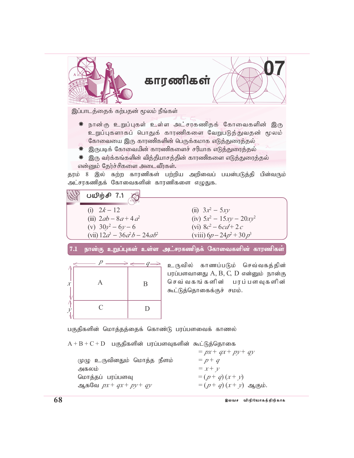

# காரணிகள்

இப்பாடத்தைக் கற்பதன் மூலம் நீங்கள்

- ☀ நான்கு உறுப்புகள் உள்ள அட்சரகணிதக் கோவைகளின் இரு உறுப்புகளாகப் பொதுக் காரணிகளை வேறுபடுத்துவதன் மூலம் கோவையை இரு காரணிகளின் பெருக்கமாக எடுத்துரைத்தல்
- \* இருபடிக் கோவையின் காரணிகளைச் சரியாக எடுத்துரைத்தல்
- ☀ இரு வர்க்கங்களின் வித்தியாசத்தின் காரணிகளை எடுத்துரைத்தல் என்னும் தேர்ச்சிகளை அடைவீர்கள்.

தரம் 8 இல் கற்ற காரணிகள் பற்றிய அறிவைப் பயன்படுத்தி பின்வரும் அட்சரகணிதக் கோவைகளின் காரணிகளை எழுதுக.

 $U \cup \hat{m} \oplus 7.1$ (ii)  $3x^2 - 5xy$ (i)  $2k - 12$ (iv)  $5x^2 - 15xy - 20xy^2$ (iii)  $2ab - 8a + 4a^2$ (v)  $30v^2 - 6v - 6$ (vi)  $8c^2 - 6cd + 2c$ (vii)  $12a^3 - 36a^2b - 24ab^2$ (viii)  $6p - 24p^2 + 30p^3$ நான்கு உறுப்புகள் உள்ள அட்சரகணிதக் கோவைகளின் காரணிகள்  $7.1$ உருவில் காணப்படும் செவ்வகத்தின் பரப்பளவானது  $A, B, C, D$  என்னும் நான்கு செவ் வகங்களின் பரப்பளவுகளின்  $\overline{A}$  $\mathbf{B}$  $\mathcal{X}$ கூட்டுத்தொகைக்குச் சமம்.  $\overline{\Lambda}$  $\mathcal{C}$ D  $\mathcal{V}$ பகுதிகளின் மொத்தத்தைக் கொண்டு பரப்பளவைக் காணல்  $A + B + C + D$  பகுதிகளின் பரப்பளவுகளின் கூட்டுத்தொகை  $= px + qx + py + qy$ முழு உருவினதும் மொத்த நீளம்  $= p + q$ 

அகலம்  $= x + y$ மொத்தப் பரப்பளவு  $= (p + q)(x + y)$  $=(p+q)(x+y)$  ஆகும். ஆகவே  $px + qx + py + qy$ 

இலவச விநியோகத்திற்காக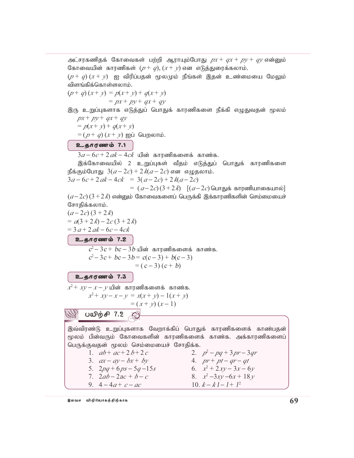அட்சரகணிதக் கோவைகள் பற்றி ஆராயும்போது  $px + qx + py + qy$  என்னும் கோவையின் காரணிகள்  $(p+q)$ ,  $(x + y)$  என எடுத்துரைக்கலாம்.

 $(p+q)(x+y)$  ஐ விரிப்பதன் மூலமும் நீங்கள் இதன் உண்மையை மேலும் விளங்கிக்கொள்ளலாம்.

$$
(p+q)(x+y) = p(x+y) + q(x+y)
$$
  
= px + py + qx + qy

இரு உறுப்புகளாக எடுத்துப் பொதுக் காரணிகளை நீக்கி எழுதுவதன் மூலம்  $px + py + qx + qy$ 

 $= p(x + y) + q(x + y)$ 

 $= (p + q)(x + y)$  ஐப் பெறலாம்.

## உதாரணம் 7.1

 $3a - 6c + 2ak - 4ck$  யின் காரணிகளைக் காண்க.

இக்கோவையில் 2 உறுப்புகள் வீதம் எடுத்துப் பொதுக் காரணிகளை  $\mathbb{E}$ க்கும்போது  $3(a - 2c) + 2k(a - 2c)$  என எழுதலாம்.

$$
3a - 6c + 2ak - 4ck = 3(a - 2c) + 2k(a - 2c)
$$

=  $(a-2c)$  $(3+2k)$   $[(a-2c)$  பொதுக் காரணியாகையால்]  $(a-2c)$  ( $3+2k$ ) என்னும் கோவைகளைப் பெருக்கி இக்காரணிகளின் செம்மையைச் சோதிக்கலாம்.

$$
(a-2c) (3+2k)
$$
  
=  $a(3+2k)-2c(3+2k)$   
=  $3a+2ak-6c-4ck$   
2.566 cm to 7.2  
 $c^2-3c+bc-3b$  u $l$  sin  $5a$  m is an isomorphism.  
 $c^2-3c+bc-3b=c(c-3)+b(c-3)$   
=  $(c-3)(c+b)$   
2.566 cm to 7.3  
 $x^2 + xy - x - y$  u $l$  sin  $5a$  m is an isomorphism.  
 $x^2 + xy - x - y = x(x+y) - 1(x+y)$   
=  $(x+y)(x-1)$ 

பயிற்சி 7.2

இவ்விரண்டு உறுப்புகளாக வேறாக்கிப் பொதுக் காரணிகளைக் காண்பதன் மூலம் பின்வரும் கோவைகளின் காரணிகளைக் காண்க. அக்காரணிகளைப் பெருக்குவதன் மூலம் செம்மையைச் சோதிக்க.<br>புதித்திர்த்த வார்ப்பிரம் வாதிக்க.

1. 
$$
a b + a c + 2 b + 2 c
$$

5. 
$$
2na + 6n - 5a - 15
$$

$$
2p_1 \cdot 2p_2 \cdot 3q_1
$$
  

$$
2ab - 2ac + b - c
$$

7. 2*ab* − 2a*c + b* − *<sup>c</sup>* 8. *<sup>x</sup>* 9.  $4 - 4a + c - ac$ 

1.  $ab + ac + 2b + 2c$ <br>2.  $p^2 - pq + 3pr - 3qr$  $ax - ay - bx + by$  4.  $pr + pt - qr - qt$ 5.  $2pq + 6ps - 5q - 15s$  6.  $x^2 + 2xy - 3x - 6y$ <sup>2</sup> −3*xy* −6*x* + 18*<sup>y</sup>* 10.  $k-k-1+1^2$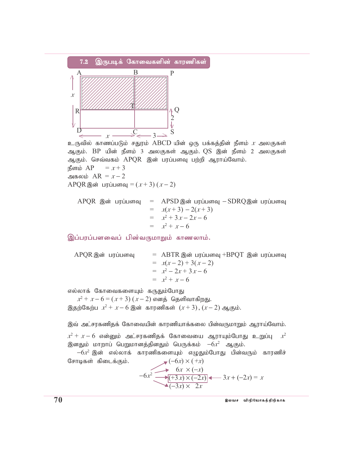

உருவில் காணப்படும் சதுரம்  ${\rm ABCD}$  யின் ஒரு பக்கத்தின் நீளம்  $x$  அலகுகள் ஆகும். BP யின் நீளம் 3 அலகுகள் ஆகும். QS இன் நீளம் 2 அலகுகள் ஆகும். செவ்வகம் APOR இன் பரப்பளவு பற்றி ஆராய்வோம். நீளம் AP  $= x + 3$ 

அகலம்  $AR = x - 2$ 

APQR இன் பரப்பளவு =  $(x+3)(x-2)$ 

APOR இன் பரப்பளவு  $=$  APSD இன் பரப்பளவு  $-SDRQ$ இன் பரப்பளவு  $= x(x+3) - 2(x+3)$  $= x^2 + 3x - 2x - 6$  $= x^2 + x - 6$ 

இப்பரப்பளவைப் பின்வருமாறும் காணலாம்.

 $=$  ABTR இன் பரப்பளவு +BPOT இன் பரப்பளவு APQR இன் பரப்பளவு  $= x(x-2) + 3(x-2)$  $= x^2 - 2x + 3x - 6$  $= x^2 + x - 6$ 

எல்லாக் கோவைகளையும் கருதும்போது

 $x^2 + x - 6 = (x + 3)(x - 2)$  எனத் தெளிவாகிறது. இதற்கேற்ப $x^2 + x - 6$  இன் காரணிகள்  $(x+3)$ ,  $(x-2)$  ஆகும்.

இவ் அட்சரகணிதக் கோவையின் காரணியாக்கலை பின்வருமாறும் ஆராய்வோம்.  $x^2 + x - 6$  என்னும் அட்சரகணிதக் கோவையை ஆராயும்போது உறுப்பு  $x^2$ இனதும் மாறாப் பெறுமானத்தினதும் பெருக்கம்  $-6x^2$  ஆகும்.

 $-6x^2$  இன் எல்லாக் காரணிகளையும் எழுதும்போது பின்வரும் காரணிச்  $\bigtriangledown(-6x) \times (+x)$ சோடிகள் கிடைக்கும்.

$$
-6x^2 \underbrace{\underbrace{\qquad \qquad 6x \times (-x)}_{(-3x) \times (-2x)}}_{x \text{ times }} 3x + (-2x) = x
$$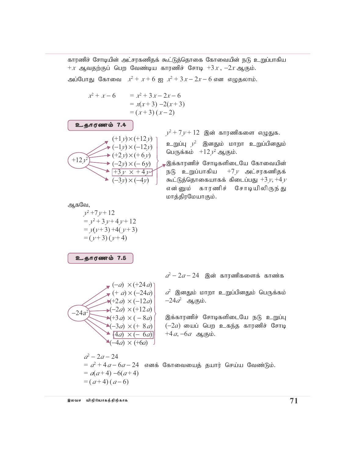காரணிச் சோடியின் அட்சரகணிதக் கூட்டுத்தொகை கோவையின் நடு உறுப்பாகிய  $+x$  ஆவதற்குப் பெற வேண்டிய காரணிச் சோடி  $+3x$ ,  $-2x$  ஆகும். அப்போது கோவை  $x^2 + x + 6$  ஐ  $x^2 + 3x - 2x - 6$  என எழுதலாம்.

$$
x^{2} + x - 6 = x^{2} + 3x - 2x - 6
$$
  
= x(x+3) - 2(x+3)  
= (x+3) (x-2)

$$
(+1y) \times (+12y)
$$
\n
$$
(+1y) \times (+12y)
$$
\n
$$
(+2y) \times (+6y)
$$
\n
$$
(+2y) \times (-6y)
$$
\n
$$
(+3y) \times (+4y)
$$
\n
$$
(+3y) \times (-4y)
$$

உகாரணம் 7.4

 $y^2 + 7y + 12$  இன் காரணிகளை எழுதுக.

உறுப்பு  $y^2$  இனதும் மாறா உறுப்பினதும் பெருக்கம்  $+12y^2$  ஆகும்.

, இக்காரணிச் சோடிகளிடையே கோவையின் நடு உறுப்பாகிய  $+7y$  அட்சரகணிதக் கூட்டுத்தொகையாகக் கிடைப்பது  $+3y, +4y$ என்னும் காரணிச் சோடியிலிருந்து மாத்திரமேயாகும்.

ஆகவே,

$$
y^2+7y+12
$$
  
=  $y^2+3y+4y+12$   
=  $y(y+3)+4(y+3)$   
=  $(y+3)(y+4)$ 

உதாரணம் 7.5

$$
(-a) \times (+24 a)
$$
\n
$$
(+a) \times (-24 a)
$$
\n
$$
+2a) \times (-12 a)
$$
\n
$$
(-24 a2) \times (+12 a)
$$
\n
$$
(+3 a) \times (-8 a)
$$
\n
$$
(-3 a) \times (+8 a)
$$
\n
$$
(4 a) \times (-6 a)
$$
\n
$$
(-4 a) \times (+6 a)
$$

 $a^2 - 2a - 24$  இன் காரணிகளைக் காண்க

 $\hat{a}^2$  இனதும் மாறா உறுப்பினதும் பெருக்கம்  $-24a^2$  ஆகும்.

இக்காரணிச் சோடிகளிடையே நடு உறுப்பு  $(-2a)$  யைப் பெற உகந்த காரணிச் சோடி  $+4a, -6a$  ஆகும்.

 $a^2 - 2a - 24$  $a = a^2 + 4a - 6a - 24$  எனக் கோவையைத் தயார் செய்ய வேண்டும்.  $= a(a+4) - 6(a+4)$  $=(a+4)(a-6)$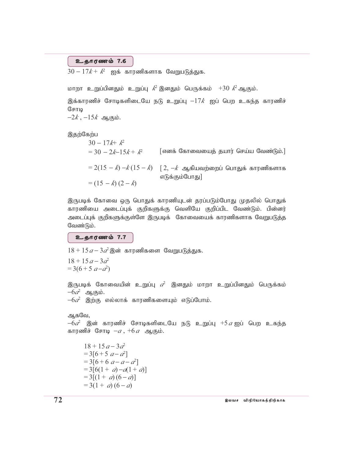### உதாரணம் 7.6

 $30-17k+k^2$  ஐக் காரணிகளாக வேறுபடுத்துக.

மாறா உறுப்பினதும் உறுப்பு  $k^2$  இனதும் பெருக்கம்  $+30$   $k^2$ ஆகும்.

இக்காரணிச் சோடிகளிடையே நடு உறுப்பு  $-17k$  ஐப் பெற உகந்த காரணிச் சோடி

 $-2k, -15k$  ஆகும்.

இதற்கேற்ப

 $30 - 17k + k^2$  $=$  30  $-$  2k-15k +  $k^2$ [எனக் கோவையைத் தயார் செய்ய வேண்டும்.]  $= 2(15 - k) - k(15 - k)$   $[2, -k, -k]$  ஆகியவற்றைப் பொதுக் காரணிகளாக எடுக்கும்போது]  $= (15 - k)(2 - k)$ 

இருபடிக் கோவை ஒரு பொதுக் காரணியுடன் தரப்படும்போது முதலில் பொதுக் காரணியை அடைப்புக் குறிகளுக்கு வெளியே குறிப்பிட வேண்டும். பின்னர் அடைப்புக் குறிகளுக்குள்ளே இருபடிக் கோவையைக் காரணிகளாக வேறுபடுத்த வேண்டும்.

உதாரணம் 7.7

 $18 + 15 a - 3a^2$ இன் காரணிகளை வேறுபடுத்துக.

 $18 + 15a - 3d^2$  $=3(6+5 a-a^2)$ 

இருபடிக் கோவையின் உறுப்பு  $a^2$  இனதும் மாறா உறுப்பினதும் பெருக்கம்  $-6\hat{a}$  ஆகும்.

 $-6a^2$  இற்கு எல்லாக் காரணிகளையும் எடுப்போம்.

```
ஆகவே,
```
 $-6a^2$  இன் காரணிச் சோடிகளிடையே நடு உறுப்பு  $+5a$ ஐப் பெற உகந்த காரணிச் சோடி  $-a$ ,  $+6a$  ஆகும்.

 $18 + 15a - 3a^2$  $=3[6+5 a-a^2]$  $=3[6+6 a-a-a^2]$  $=3[6(1 + a)-a(1 + a)]$  $=3[(1 + a)(6 - a)]$  $= 3(1 + a)(6 - a)$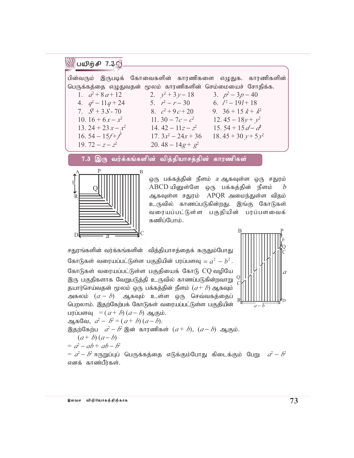# ∰பமிற்சி 7.3இ

| பின்வரும் இருபடிக் கோவைகளின் காரணிகளை எழுதுக. காரணிகளின்   |                     |                       |                                         |  |
|------------------------------------------------------------|---------------------|-----------------------|-----------------------------------------|--|
| பெருக்கத்தை எழுதுவதன் மூலம் காரணிகளின் செம்மையைச் சோதிக்க. |                     |                       |                                         |  |
| 1. $a^2+8a+12$                                             | 2. $v^2 + 3v - 18$  |                       | 3. $p^2 - 3p - 40$                      |  |
| 4. $q^2-11q+24$                                            | 5. $r^2 - r - 30$   |                       | 6. $l^2-19l+18$                         |  |
| 7. $S^2 + 3S - 70$                                         | 8. $c^2+9c+20$      |                       | 9. $36 + 15k + k^2$                     |  |
| 10. $16 + 6x - x^2$                                        | 11. 30 – 7c – $c^2$ |                       | 12.45 – $18y + y^2$                     |  |
| 13. 24 + 23 $x - x^2$                                      | 14.42 – $11z - z^2$ |                       | 15.54 + 15 $d - d^2$                    |  |
| 16.54 – $15f + f$                                          |                     | 17. $3x^2 - 24x + 36$ | 18.45 + 30 $\nu$ + 5 $\nu$ <sup>2</sup> |  |
| 19.72 – $z-z^2$                                            | 20.48 – $14g + g^2$ |                       |                                         |  |
|                                                            |                     |                       |                                         |  |

இரு வர்க்கங்களின் வித்தியாசத்தின் காரணிகள்  $7.3$ 



ஒரு பக்கத்தின் நீளம் *a* ஆகவுள்ள ஒரு சதுரம் ABCD யினுள்ளே ஒரு பக்கத்தின் நீளம்  $\boldsymbol{b}$ ஆகவுள்ள சதுரம் APQR அமைந்துள்ள விதம் உருவில் காணப்படுகின்றது. இங்கு கோடுகள் வரையப்பட்டுள்ள பகுதியின் பரப்பளவைக் கணிப்போம்.

சதுரங்களின் வர்க்கங்களின் வித்தியாசத்தைக் கருதும்போது கோடுகள் வரையப்பட்டுள்ள பகுதியின் பரப்பளவு =  $a^2 - b^2$ . கோடுகள் வரையப்பட்டுள்ள பகுதியைக் கோடு CQ வழியே இரு பகுதிகளாக வேறுபடுத்தி உருவில் காணப்படுகின்றவாறு தயார்செய்வதன் மூலம் ஒரு பக்கத்தின் நீளம்  $(a + b)$  ஆகவும் அகலம்  $(a - b)$  ஆகவும் உள்ள ஒரு செவ்வகத்தைப் பெறலாம். இதற்கேற்பக் கோடுகள் வரையப்பட்டுள்ள பகுதியின் பரப்பளவு =  $(a + b)(a - b)$  ஆகும். ஆகவே,  $a^2-b^2 = (a+b)(a-b)$ . இதற்கேற்ப $a^2-b^2$  இன் காரணிகள்  $(a+b)$ ,  $(a-b)$  ஆகும்.  $(a+b)(a-b)$  $= a^2 - ab + ab - b^2$  $=$   $a^2-b^2$  ஈருறுப்புப் பெருக்கத்தை எடுக்கும்போது கிடைக்கும் பேறு  $a^2-b^2$ 



எனக் காண்பீர்கள்.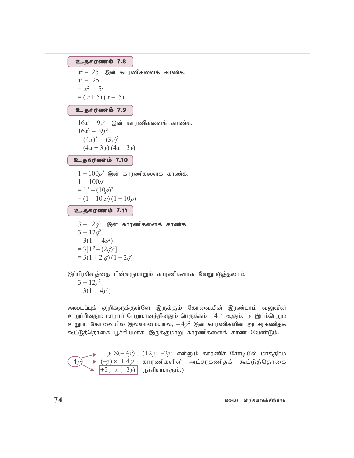உதாரணம் 7.8

 $x^2 - 25$  இன் காரணிகளைக் காண்க.  $x^2 - 25$  $= x^2 - 5^2$  $=(x+5)(x-5)$ 

### உதாரணம் 7.9

 $16x^2 - 9y^2$  இன் காரணிகளைக் காண்க.  $16x^2 - 9y^2$  $=(4x)^2-(3y)^2$  $=(4x+3y)(4x-3y)$ 

## உதாரணம் 7.10

 $1-100p^2$  இன் காரணிகளைக் காண்க.  $1 - 100p^2$  $= 1^2 - (10p)^2$  $=(1+10 p)(1-10p)$ உதாரணம் 7.11

$$
3 - 12q2 \n\textcircled{3} \n\textcircled{3} + 12q2
$$
\n
$$
3 - 12q2
$$
\n
$$
= 3(1 - 4q2)
$$
\n
$$
= 3[12 - (2q)2]
$$
\n
$$
= 3(1 + 2q) (1 - 2q)
$$

இப்பிரசினத்தை பின்வருமாறும் காரணிகளாக வேறுபடுத்தலாம்.

$$
3 - 12y^2
$$
  
= 3(1 - 4y<sup>2</sup>)

அடைப்புக் குறிகளுக்குள்ளே இருக்கும் கோவையின் இரண்டாம் வலுவின் உறுப்பினதும் மாறாப் பெறுமானத்தினதும் பெருக்கம்  $-4\chi^2$  ஆகும்.  $\gamma$  இடம்பெறும் உறுப்பு கோவையில் இல்லாமையால்,  $-4\nu^2$  இன் காரணிகளின் அட்சரகணிதக் கூட்டுத்தொகை பூச்சியமாக இருக்குமாறு காரணிகளைக் காண வேண்டும்.

$$
y \times (-4y) \quad (+2y, -2y \quad \text{mängulo} \quad \text{Bergulio} \quad \text{Bergulio} \quad \text{Bergulio} \quad \text{Bergulio} \quad \text{Bergulio} \quad \text{Bergulio} \quad \text{Bergulio} \quad \text{Bergulio} \quad \text{Bergulio} \quad \text{Bergulio} \quad \text{Bergulio} \quad \text{Bergulio} \quad \text{Bergulio} \quad \text{Bergulio} \quad \text{Bergulio} \quad \text{Bergulio} \quad \text{Bergulio} \quad \text{Bergulio} \quad \text{Bergulio} \quad \text{Bergulio} \quad \text{Bergulio} \quad \text{Bergulio} \quad \text{Bergulio} \quad \text{Bergulio} \quad \text{Bergulio} \quad \text{Bergulio} \quad \text{Bergulio} \quad \text{Bergulio} \quad \text{Bergulio} \quad \text{Bergulio} \quad \text{Bergulio} \quad \text{Bergulio} \quad \text{Bergulio} \quad \text{Bergulio} \quad \text{Bergulio} \quad \text{Bergulio} \quad \text{Bergulio} \quad \text{Bergulio} \quad \text{Bergulio} \quad \text{Bergulio} \quad \text{Bergulio} \quad \text{Bergulio} \quad \text{Bergulio} \quad \text{Bergulio} \quad \text{Bergulio} \quad \text{Bergulio} \quad \text{Bergulio} \quad \text{Bergulio} \quad \text{Bergulio} \quad \text{Bergulio} \quad \text{Bergulio} \quad \text{Bergulio} \quad \text{Bergulio} \quad \text{Bergulio} \quad \text{Bergulio} \quad \text{Bergulio} \quad \text{Bergulio} \quad \text{Bergulio} \quad \text{Bergulio} \quad \text{Bergulio} \quad \text{Bergulio} \quad \text{Bergulio} \quad \text{Bergulio} \quad \text{Bergulio} \quad \text{Bergulio} \quad \text{Bergulio} \quad \text{Bergulio} \quad \text{Bergulio} \quad \text{Bergulio} \quad \text{Bergulio} \quad \text{Bergulio} \quad \text{Bergulio} \quad \text{Bergulio} \quad \text
$$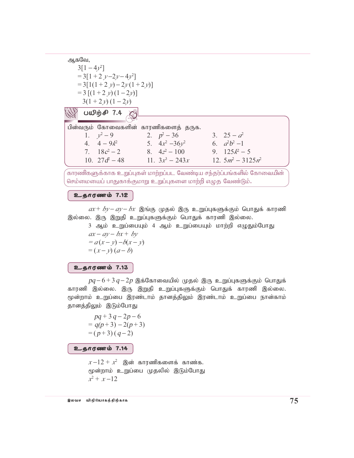ஆகவே,  $3[1-4\nu^2]$  $=3[1+2 y-2y-4y^2]$  $=3[1(1+2 \nu)-2\nu(1+2\nu)]$  $= 3 [(1 + 2 y)(1 - 2y)]$  $3(1+2y)(1-2y)$  $^{\circ}$  பயிற்சி 7.4  $\approx$ பின்வரும் கோவைகளின் காரணிகளைத் தருக. 3.  $25 - a^2$ 1.  $v^2-9$ 2.  $p^2 - 36$ 6.  $a^2b^2-1$ 4.  $4-9k^2$  5.  $4x^2-36y^2$ 7.  $18c^2 - 2$ 8.  $4z^2 - 100$ 9.  $125k^2 - 5$ 10.  $27d^2 - 48$  11.  $3x^3 - 243x$ 12.  $5m^2 - 3125n^2$ 

காரணிகளுக்காக உறுப்புகள் மாற்றப்பட வேண்டிய சந்தர்ப்பங்களில் கோவையின் செம்மையைப் பாதுகாக்குமாறு உறுப்புகளை மாற்றி எழுத வேண்டும்.

உதாரணம் 7.12

 $ax + by - ay - bx$  இங்கு முதல் இரு உறுப்புகளுக்கும் பொதுக் காரணி இல்லை. இரு இறுதி உறுப்புகளுக்கும் பொதுக் காரணி இல்லை.

3 ஆம் உறுப்பையும் 4 ஆம் உறுப்பையும் மாற்றி எழுதும்போது  $ax-ay-bx+by$  $= a(x - y) - b(x - y)$ 

 $=(x-y)(a-b)$ 

#### உதாரணம் 7.13

 $pq-6+3q-2p$  இக்கோவையில் முதல் இரு உறுப்புகளுக்கும் பொதுக் காரணி இல்லை. இரு இறுதி உறுப்புகளுக்கும் பொதுக் காரணி இல்லை. மூன்றாம் உறுப்பை இரண்டாம் தானத்திலும் இரண்டாம் உறுப்பை நான்காம் தானத்திலும் இடும்போது

$$
pq+3q-2p-6
$$
  
= q(p+3) - 2(p+3)  
= (p+3) (q-2)

உதாரணம் 7.14

 $x-12+x^2$  இன் காரணிகளைக் காண்க. மூன்றாம் உறுப்பை முதலில் இடும்போது  $x^2 + x - 12$